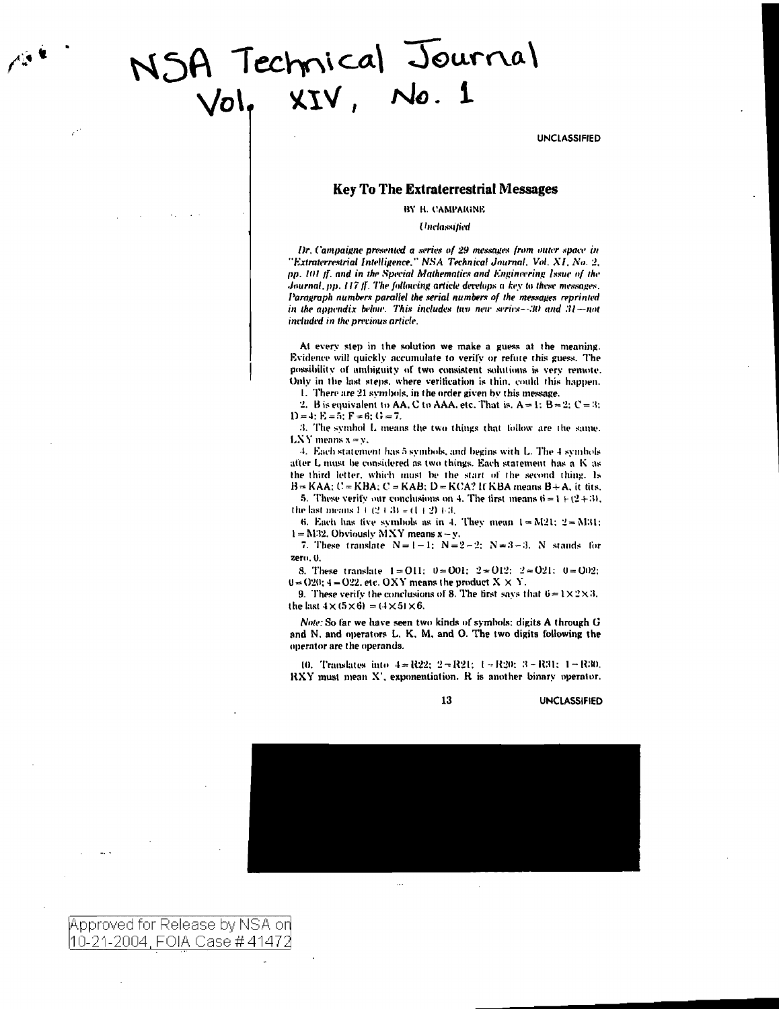# NSA Technical Journal

**UNCLASSIFIED** 

# **Key To The Extraterrestrial Messages**

BY H. CAMPAIGNE

Unclassified

Dr. Campaigne presented a series of 29 messages from outer space in "Extraterrestrial Intelligence," NSA Technical Journal, Vol. XI, No. 2, pp. 101 ff. and in the Special Mathematics and Engineering Issue of the Journal, pp. 117 ff. The following article develops a key to these messages. Paragraph numbers parallel the serial numbers of the messages reprinted in the appendix below. This includes two new series--30 and 31-not included in the previous article.

At every step in the solution we make a guess at the meaning. Evidence will quickly accumulate to verify or refute this guess. The possibility of ambiguity of two consistent solutions is very remote. Only in the last steps, where verification is thin, could this happen.

1. There are 21 symbols, in the order given by this message. 2. B is equivalent to AA, C to AAA, etc. That is,  $A = 1$ :  $B = 2$ :  $C = 3$ :

 $D = 4$ :  $E = 5$ :  $F = 6$ :  $G = 7$ .

3. The symbol L means the two things that follow are the same. LXY means  $x = y$ .

4. Each statement has 5 symbols, and begins with L. The 4 symbols after L must be considered as two things. Each statement has a K as the third letter, which must be the start of the second thing. Is  $B = KAA$ ;  $C = KBA$ ;  $C = KAB$ ;  $D = KCA$ ? If KBA means  $B + A$ , it fits,

5. These verify our conclusions on 4. The first means  $6 = 1 + (2 + 3)$ , the last means  $1 + (2 + 3) = (1 + 2) + 3$ ,

6. Each has five symbols as in 4. They mean  $1 = M21$ :  $2 = M31$ :  $1 = M32$ . Obviously MXY means  $x - y$ .

7. These translate  $N=1-1$ ;  $N=2-2$ ;  $N=3-3$ . N stands for zero, 0.

8. These translate  $1 = 011$ ;  $0 = 001$ ;  $2 = 012$ ;  $2 = 021$ ;  $0 = 002$ ;  $0 = 020$ ;  $4 = 022$ , etc. OXY means the product  $X \times Y$ .

9. These verify the conclusions of 8. The first says that  $6 = 1 \times 2 \times 3$ , the last  $4 \times (5 \times 6) = (4 \times 5) \times 6$ .

Note: So far we have seen two kinds of symbols: digits A through G and N. and operators L. K. M. and O. The two digits following the operator are the operands.

10. Translates into  $4 = R22$ ;  $2 = R21$ ;  $1 = R20$ ;  $3 = R31$ ;  $1 = R30$ . RXY must mean X', exponentiation. R is another binary operator.

13

**UNCLASSIFIED** 



Approved for Release by NSA on |10-21-2004, FOIA Case # 41472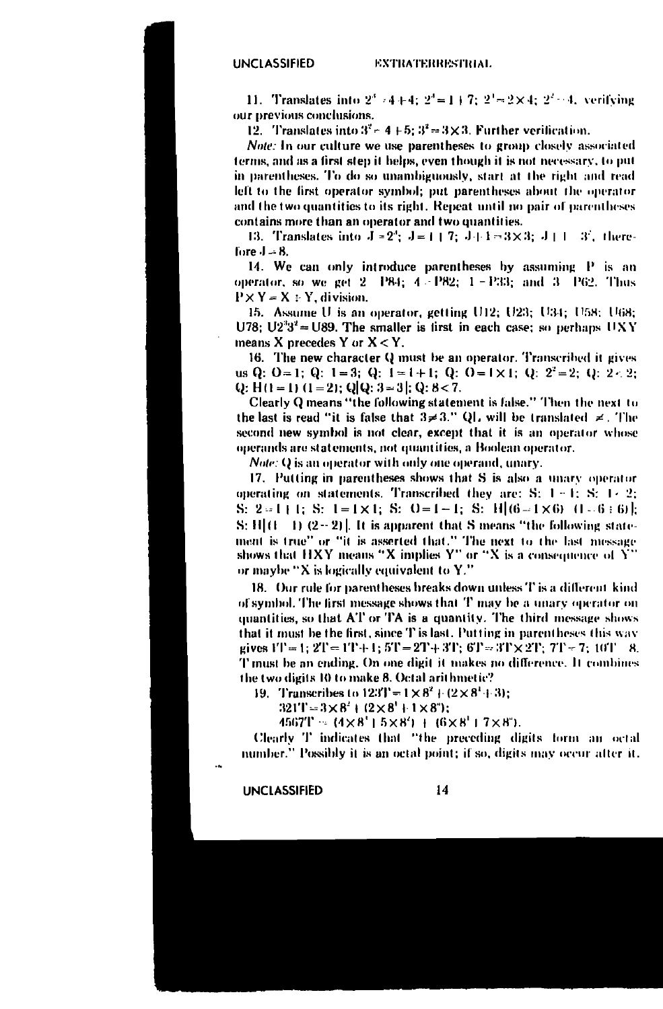11. Translates into  $2^3 - 4 + 4$ :  $2^4 = 1 + 7$ :  $2^3 = 2 \times 4$ :  $2^2 - 4$ , verifying our previous conclusions.

12. Translates into  $3^2$  = 4 + 5;  $3^2$  = 3 × 3. Further verification.

Note: In our culture we use parentheses to group closely associated terms, and as a first step it helps, even though it is not necessary, to put in parentheses. To do so unambiguously, start at the right and read left to the first operator symbol; put parentheses about the operator and the two quantities to its right. Repeat until no pair of parentheses contains more than an operator and two quantities.

13. Translates into  $J = 2^3$ ;  $J = 1 + 7$ ;  $J + 1 = 3 \times 3$ ;  $J + 1 = 3^3$ , therefore  $J = 8$ .

14. We can only introduce parentheses by assuming P is an operator, so we get  $2 - P84$ ;  $4 - P82$ ;  $1 - P33$ ; and  $3 - P62$ . Thus  $P \times Y = X \div Y$ , division.

15. Assume U is an operator, getting U12; U23; U34; U58; U68; U78;  $U2^{3}3^{2} = U89$ . The smaller is first in each case; so perhaps UXY means X precedes Y or  $X < Y$ .

16. The new character Q must be an operator. Transcribed it gives us Q: O = 1; Q: 1 = 3; Q: 1 = 1 + 1; Q: 0 = 1 × 1; Q: 2<sup>2</sup> = 2; Q: 2 < 2; Q: H(1 = 1) (1 = 2); Q[Q: 3 = 3]; Q: 8 < 7.

Clearly Q means "the following statement is false." Then the next to the last is read "it is false that  $3 \neq 3$ ." QL will be translated  $\neq$ . The second new symbol is not clear, except that it is an operator whose operands are statements, not quantities, a Boolean operator.

*Note:* Q is an operator with only one operand, unary.

17. Putting in parentheses shows that S is also a unary operator operating on statements. Transcribed they are: S:  $1 - 1$ ; S:  $1 - 2$ ; S: 2=1+1; S: 1=1×1; S: 0=1-1; S: H|(6-1×6) (1-6+6)|;  $S: H[(1 \t1) (2-2)]$ . It is apparent that S means "the following statement is true" or "it is asserted that." The next to the last message shows that HXY means "X implies  $Y''$  or "X is a consequence of  $\hat{Y}'$ or maybe "X is logically equivalent to Y."

18. Our rule for parentheses breaks down unless T is a different kind of symbol. The first message shows that T may be a unary operator on quantities, so that AT or TA is a quantity. The third message shows that it must be the first, since T is last. Putting in parentheses this way gives  $1T = 1$ ;  $2T = 1T + 1$ ;  $5T = 2T + 3T$ ;  $6T = 3T \times 2T$ ;  $7T = 7$ ;  $10T - 8$ . T must be an ending. On one digit it makes no difference. It combines the two digits 10 to make 8. Octal arithmetic?

19. Transcribes to  $123T = 1 \times 8^2 + (2 \times 8^1 + 3)$ ;

 $321T = 3 \times 8^2 + (2 \times 8^1 + 1 \times 8^2);$ 

 $4567T = (4 \times 8' + 5 \times 8') + (6 \times 8' + 7 \times 8')$ .

Clearly T indicates that "the preceding digits form an octal number." Possibly it is an octal point; if so, digits may occur after it.

UNCLASSIFIED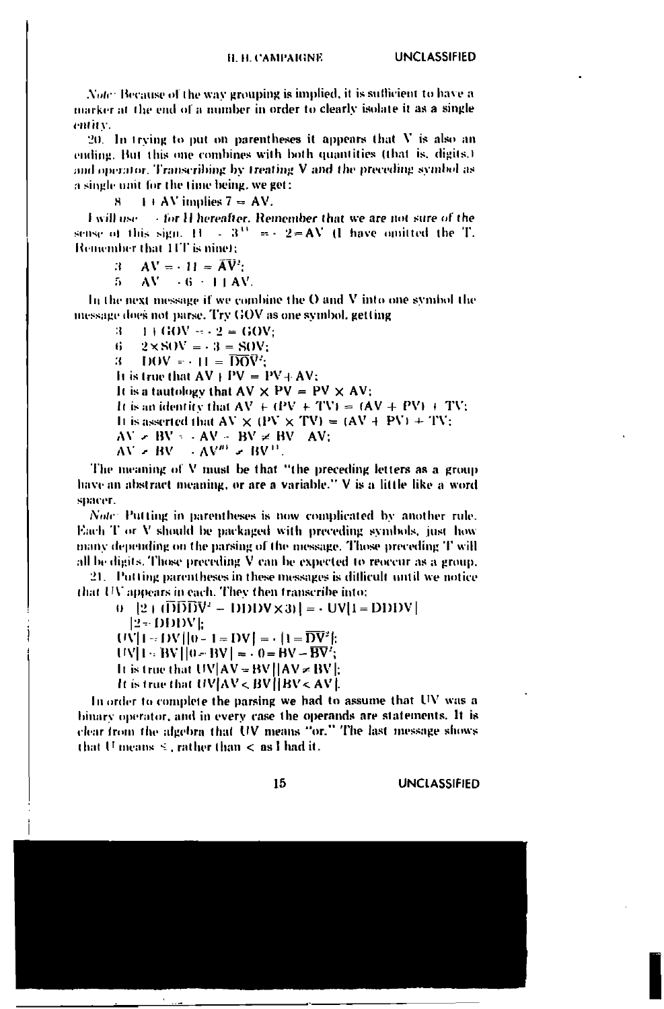Note: Because of the way grouping is implied, it is sufficient to have a marker at the end of a number in order to clearly isolate it as a single entity.

20. In trying to put on parentheses it appears that  $V$  is also an ending. But this one combines with both quantities (that is, digits.) and operator. Transcribing by treating V and the preceding symbol as a single unit for the time being, we get:

 $1 + AV$  implies  $7 = AV$ . H.

tor H hereafter. Remember that we are not sure of the **Lwill use** sense of this sign.  $H = 3^{11} = -2 = AV$  (1 have omitted the T. Remember that 11T is nine);

- $AV = -11 = AV^2$ :  $\mathbf{a}$
- $AV = 6 11 AV$ . 5

In the next message if we combine the O and V into one symbol the message does not parse. Try GOV as one symbol, getting

 $\Omega$  $1 + GOV = -2 = GOV$  $2 \times$ SOV =  $-3$  = SOV:  $\mathbf{G}$  $DOV = -H = \overline{DOV}$ : 31. It is true that  $AV + PV = PV + AV$ : It is a tautology that  $AV \times PV = PV \times AV$ ; It is an identity that  $AV + (PV + TV) = (AV + PV) + TV$ ; It is asserted that  $AV \times (PV \times TV) = (AV + PV) + TV$ ;  $AV = BV - AV - BV \neq BV - AV$ ;

$$
AV = BV \rightarrow AV^{m} = BV^{m}.
$$

The meaning of V must be that "the preceding letters as a group have an abstract meaning, or are a variable." V is a little like a word spacer.

Note: Putting in parentheses is now complicated by another rule. Each T or V should be packaged with preceding symbols, just how many depending on the parsing of the message. Those preceding T will all be digits. Those preceding V can be expected to reoccur as a group.

21. Putting parentheses in these messages is difficult until we notice that UV appears in each. They then transcribe into:

 $(1 - |2 + (D)D\overline{D}V^2 - D\overline{D}DV \times 3)| = -UV[1 - D\overline{D}DV]$ 

 $12 - DDDVE$ 

- $UV[1 DV][0 1 = DV] = (1 \overline{DV^2})$
- $UV[1 BV][0 BV] = 0 = BV BV$ ;

It is true that  $UV|AV = BV||AV = BV||$ 

It is true that  $UV|AV < BV|$  BV <  $AV|$ .

In order to complete the parsing we had to assume that UV was a binary operator, and in every case the operands are statements. It is clear from the algebra that UV means "or." The last message shows that U means  $\leq$ , rather than  $\leq$  as I had it.

15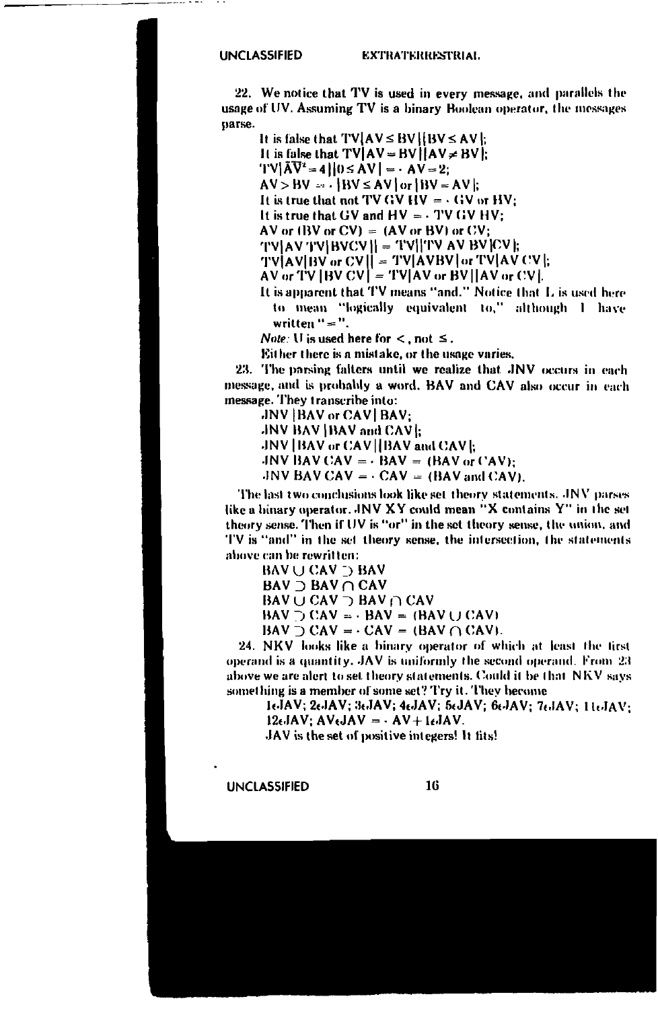### **EXTRATERRESTRIAL**

22. We notice that TV is used in every message, and parallels the usage of UV. Assuming TV is a binary Boolean operator, the messages parse.

It is false that  $TVAVC \le BVI (BV \le AVI)$ . It is false that  $TV$   $AV = BV$   $AV \neq BV$ .  $TV|\bar{A}\bar{V}^2 = 4||0 \le AV| = -AV = 2$  $AV > BV = \frac{1}{1}$   $BV \le AV$  or  $BW = AV$ : It is true that not TV GV HV =  $\cdot$  GV or HV: It is true that GV and  $HV = \cdot TV$  GV HV: AV or  $(BV or CV) = (AV or BV)$  or  $CV$ ;  $|TV|AV|TV|BVCV|| = |TV||TVAVBV|CV||$ TV|AV|BV or CV|| = TV|AVBV| or TV|AV CV|:  $AV$  or  $TV$  [BV  $CV$ ] =  $TV$ [AV or BV][AV or  $CV$ ]. It is apparent that TV means "and." Notice that L is used here

to mean "logically equivalent to," although I have written " = ".

*Note:* U is used here for  $\lt$ , not  $\leq$ .

Either there is a mistake, or the usage varies.

23. The parsing falters until we realize that JNV occurs in each message, and is probably a word. BAV and CAV also occur in each message. They transcribe into:

JNV | BAV or CAV | BAV: JNV BAV IBAV and CAVI: JNV | BAV or CAV | BAV and CAV |: JNV BAV CAV =  $\cdot$  BAV = (BAV or CAV):

JNV BAV CAV =  $\cdot$  CAV = (BAV and CAV).

The last two conclusions look like set theory statements. JNV parses like a binary operator. JNV XY could mean "X contains Y" in the set theory sense. Then if UV is "or" in the set theory sense, the union, and TV is "and" in the set theory sense, the intersection, the statements above can be rewritten:

**BAV U CAV D BAV BAV** D BAV ∩ CAV BAV  $\cup$  CAV  $\supset$  BAV  $\cap$  CAV  $BAV \supset CAV = -BAV = (BAV \cup CAV)$  $BAV \supset CAV = -CAV = (BAV \cap CAV).$ 

24. NKV looks like a binary operator of which at least the first operand is a quantity. JAV is uniformly the second operand. From 23 above we are alert to set theory statements. Could it be that NKV says something is a member of some set? Try it. They become

16JAV; 26JAV; 36JAV; 46JAV; 56JAV; 66JAV; 76JAV; 116JAV;  $12 \epsilon JAV$ ;  $AV \epsilon JAV = -AV + 1 \epsilon JAV$ .

JAV is the set of positive integers! It fits!

**UNCLASSIFIED**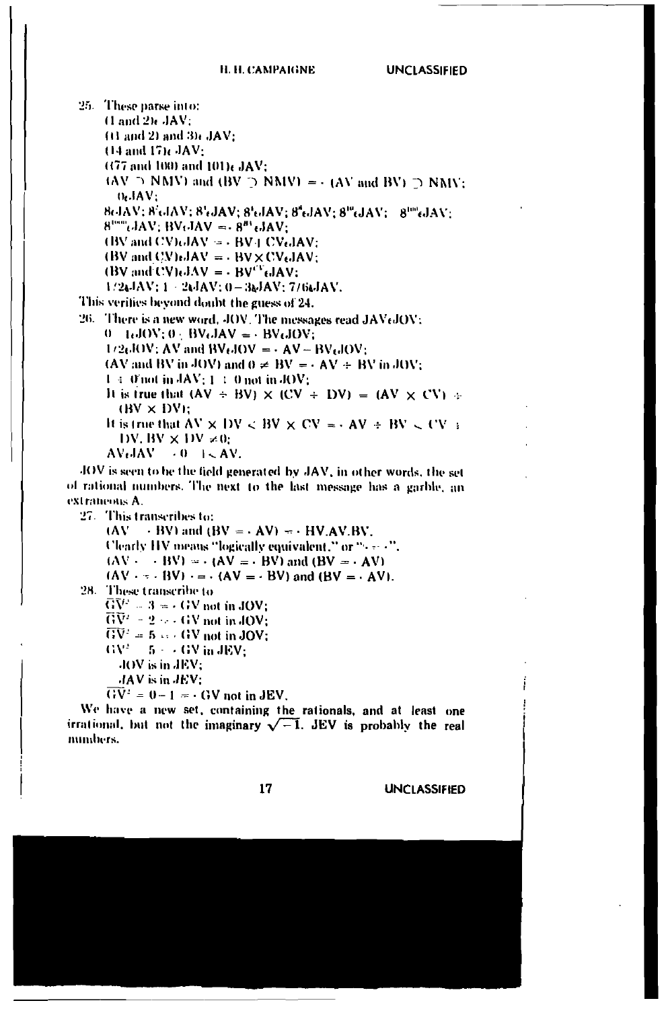25. These parse into:  $(1 \text{ and } 2)$   $\text{,}$   $\text{,}$   $\text{AV}$ : (t) and 2) and 3) ( JAV: (14 and 17) JAV (477 and 100) and 101); JAV:  $(AV \supset NMV)$  and  $(BV \supset NMV) = -(AV$  and  $BV) \supset NMV$ ;  $0.1AV:$ 8cJAV: 8<sup>1</sup>cJAV: 8<sup>1</sup>cJAV: 8<sup>1</sup>cJAV: 8<sup>4</sup>cJAV: 8<sup>10</sup>cJAV: 8<sup>100</sup>cJAV:  $8^{\text{true}}$  $\mu$ JAV: BV $\mu$ JAV =  $8^{\mu}$  $\mu$ JAV: (BV and CV) $\epsilon$ JAV =  $\cdot$  BV | CV $\epsilon$ JAV:  $(BV \text{ and } CV) \cdot JAV = -BV \times CV \cdot JAV$ : (BV and CV) $dAV = -BV^T dAV$ : 1/24JAV: 1 - 24JAV: 0-36JAV: 7/66JAV. This verifies beyond doubt the guess of 24. 26. There is a new word, JOV. The messages read JAVtJOV:  $0 - LJOV: 0 - BVLJAV = - BVLJOV:$  $1/2eJOV$ : AV and BV $eJOV = -AV - BVeJOV$ : (AV and BV in JOV) and  $0 \neq BV = -AV + BV$  in JOV;  $1 \div 0$  not in  $\frac{1}{4}AV: 1 \div 0$  not in JOV: It is true that  $(AV + BV) \times (CV + DV) = (AV \times CV)$ .  $(BV \times DV)$ : It is true that  $AV \times DV \subseteq BV \times CV = -AV + BV \subseteq CV \neq$ DV, BV  $\times$  DV  $\times$ 0:  $AVJAV \rightarrow 0$   $\rightarrow$  AV. JOV is seen to be the field generated by JAV, in other words, the set of rational numbers. The next to the last message has a garble, an extraments A. 27. This transcribes to:  $(AV \rightarrow BV)$  and  $(BV = \cdot AV) = \cdot HV.AV.BV$ . Clearly HV means "logically equivalent," or "(see 4".  $(AV - - BV) = (AV = - BV)$  and  $(BV = - AV)$  $(AV \cdot \cdot \cdot BV) \cdot = (AV = -BV)$  and  $(BV = -AV)$ . 28. These transcribe to  $\overline{GV}^* = 3 = (4V \text{ not in JOV})$  $\overline{\text{GV}}{}^2 = 2 \cdots \text{GV}$  not in JOV;  $\overline{GV'} = 5 \leftrightarrow GW$  not in JOV;

 $\text{GV}^2 = 5 + 4 \text{GV in JEV};$ 

JOV is in JEV:

JAV is in JEV:

 $\overrightarrow{GV} = 0 - 1 = -\overrightarrow{GV}$  not in JEV.

We have a new set, containing the rationals, and at least one irrational, but not the imaginary  $\sqrt{-1}$ . JEV is probably the real numbers.

17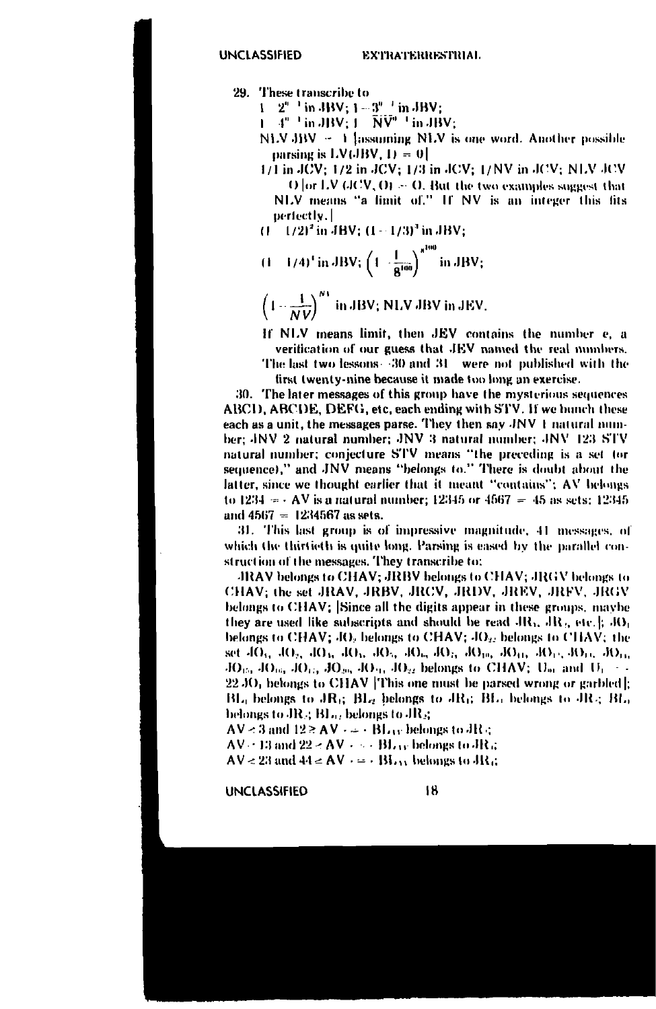29. These transcribe to

 $1 \quad 2^{n-1}$  in JBV;  $1 - 3^{n-1}$  in JBV;

 $\overline{1}$  4"  $\overline{1}$  in JBV;  $\overline{1}$  NV"  $\overline{1}$  in JBV;

- NLV JBV 1 [assuming NLV is one word. Another possible parsing is  $LV(BV, 1) = 0$
- $1/1$  in JCV:  $1/2$  in JCV;  $1/3$  in JCV;  $1/NV$  in JCV; NLV JCV  $O$  for LV  $OCV$ ,  $O$ }  $\sim$  O. But the two examples suggest that NLV means "a limit of." If NV is an integer this fits perfectly.1
- $(1 1/2)^2$  in JBV;  $(1 1/3)^3$  in JBV;
- $(1 1/4)^4$  in JBV;  $\left(1 \frac{1}{g^{100}}\right)^{g^{100}}$  in JBV;
- $\left(1-\frac{1}{NU}\right)^{N}$  in JBV; NLV JBV in JEV.

If NLV means limit, then JEV contains the number e, a verification of our guess that JEV named the real numbers.

The last two lessons 30 and 31 were not published with the first twenty-nine because it made too long an exercise.

30. The later messages of this group have the mysterious sequences ABCD, ABCDE, DEFG, etc, each ending with STV. If we hunch these each as a unit, the messages parse. They then say JNV 1 natural number; JNV 2 natural number; JNV 3 natural number; JNV 123 STV natural number; conjecture STV means "the preceding is a set tor sequence)," and JNV means "belongs to." There is doubt about the latter, since we thought earlier that it meant "contains"; AV belongs to 1234 =  $-$  AV is a natural number; 12345 or 4567 = 45 as sets; 12345 and  $4567 = 1234567$  as sets.

31. This last group is of impressive magnitude, 41 messages, of which the thirtieth is quite long. Parsing is eased by the parallel construction of the messages. They transcribe to:

JRAV belongs to CHAV; JRBV belongs to CHAV; JRGV belongs to CHAV: the set JRAV, JRBV, JRCV, JRDV, JREV, JRFV, JRGV belongs to CHAV; Since all the digits appear in these groups, maybe they are used like subscripts and should be read  $AR_1$ ,  $AR_2$ , etc.  $\parallel$ ,  $RO_1$ belongs to CHAV; JO, belongs to CHAV; JO<sub>2</sub>, belongs to CHAV; the set JO<sub>5</sub>, JO<sub>2</sub>, JO<sub>3</sub>, JO<sub>3</sub>, JO<sub>3</sub>, JO<sub>4</sub>, JO<sub>4</sub>, JO<sub>19</sub>, JO<sub>19</sub>, JO<sub>11</sub>, JO<sub>11</sub>, JO<sub>11</sub>, JO<sub>11</sub>  $JO_{15}$ ,  $JO_{16}$ ,  $JO_{11}$ ,  $JO_{20}$ ,  $JO_{21}$ ,  $JO_{22}$  belongs to CHAV;  $U_{21}$  and  $U_1$ .  $22\,\mathrm{JO}$ , belongs to CHAV This one must be parsed wrong or garbled. BL<sub>0</sub> belongs to JR<sub>6</sub>; BL<sub>2</sub> belongs to JR<sub>6</sub>; BL<sub>0</sub> belongs to JR<sub>2</sub>; BL<sub>0</sub> helongs to JR<sub>3</sub>; BL<sub>02</sub> belongs to JR<sub>3</sub>;

 $AV < 3$  and  $12 \geq AV \cdot \cdots \cdot BL_{UV}$  belongs to  $JR \subset$ 

 $AV = 13$  and  $22 < AV + \cdots$   $BL_{33}$  belongs to  $JR_{33}$ 

 $AV < 23$  and  $44 < AV$   $\cdot = \cdot$  BL<sub>13</sub> belongs to JR<sub>4</sub>.

**UNCLASSIFIED**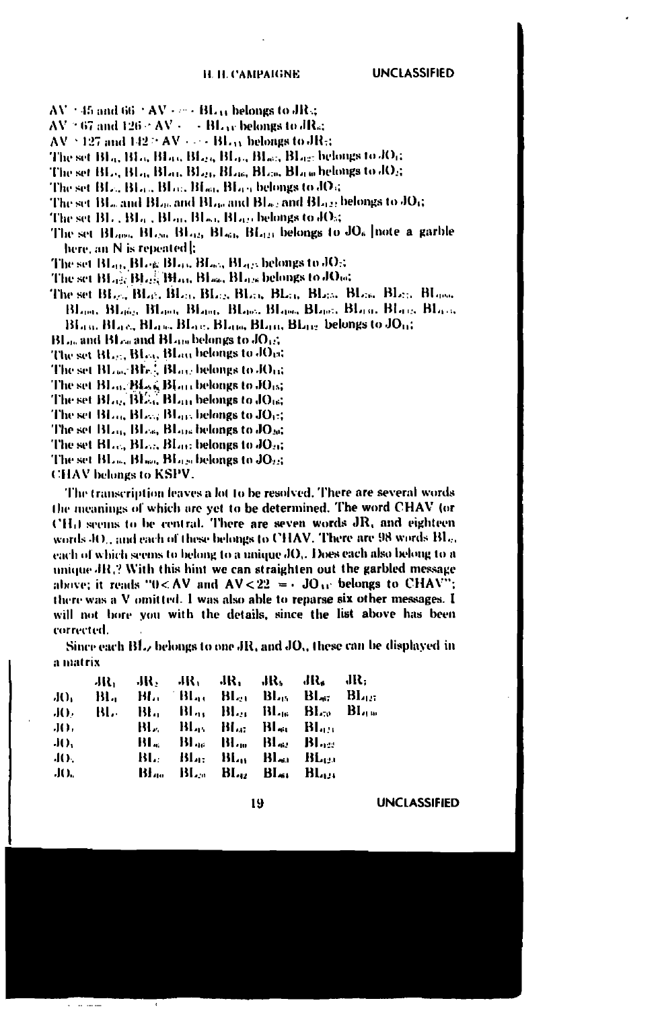$AV \approx 45$  and 66  $\pm AV \times \cdots \times BL_{33}$  belongs to JR .;

 $AV = 67$  and  $126 \cdot AV \leftarrow \text{BL}_{UV}$  belongs to  $d\text{Ra}$ 

- $AV \simeq 127$  and  $142 \simeq AV \simeq -BL_{13}$  belongs to  $JR_{53}$
- The set Bl.q. Bl.q. Bl.q.q Bl.q.q Bl.q.q Bl.q.g. belongs to JO<sub>1</sub>;
- The set BL<sub>C</sub>, BL<sub>G</sub>, BL<sub>Gb</sub>, BL<sub>Gb</sub>, BL<sub>Gb</sub>, BL<sub>Gb</sub>, BL<sub>Gb</sub>, belongs to JO<sub>S</sub>;
- The set BL., BL., BL., BL., BL., BL., belongs to JO.;
- The set BL, and BL), and BL), and BL<sub>02</sub> and BL<sub>022</sub> belongs to JO<sub>6</sub>;
- The set BL, BL<sub>0</sub>, BL<sub>0</sub>, BL<sub>0</sub>, BL<sub>0</sub>, belongs to JO<sub>5</sub>;
- The set BL<sub>ong</sub>, BL<sub>ON</sub>, BL<sub>ON</sub>, BL<sub>oN</sub>, BL<sub>ON</sub>, belongs to JO<sub>6</sub> | note a garble here, an N is repeated b
- The set BL03 BLog BL03 BL03 BL03 belongs to JO3
- The set BL<sub>02</sub>, BL03, BL03, BL03, BL03s belongs to JO04
- Blanc, Blanc, Blanc, Blanc, Blanc, Blanc, Blanc, Blanc, Blanc, Blanc, BLan, BLac, BLan, BLac, BLan, BLan, BLac, belongs to JOm.
- $BL_{00}$  and  $BL_{00}$  and  $BL_{100}$  belongs to  $JO_{12}$ .
- The set BL. . BL., BL., blan belongs to JOm.
- The set BLace Blv.<sup>2</sup>, BLace belongs to JOrd
- The set BLo. Blood Blom belongs to JO15;
- The set  $BL_{22}$ ,  $BL_{33}$ ,  $BL_{33}$  belongs to  $JO_{16}$ ;
- The set Bl.m. Bl.m. Bl.m. belongs to JO<sub>11</sub>:
- The set BL<sub>14</sub>, BL<sub>26</sub>, BL<sub>916</sub> belongs to JO<sub>20</sub>;
- The set BL., BL., BL., belongs to JO.,
- The set BL., Bl., BL., BL., belongs to JO.:
- 

**CHAV** belongs to KSPV.

The transcription leaves a lot to be resolved. There are several words the meanings of which are yet to be determined. The word CHAV (or CH<sub>(</sub>) seems to be central. There are seven words JR, and eighteen words 40., and each of these belongs to CHAV. There are 98 words BL., each of which seems to belong to a unique JO,. Does each also belong to a unique JR.? With this hint we can straighten out the garbled message above; it reads "0<AV and  $AV < 22 = -JO_{11}$  belongs to CHAV"; there was a V omitted. I was also able to reparse six other messages. I will not bore you with the details, since the list above has been corrected.

Since each BL, belongs to one JR, and JO,, these can be displayed in a matrix

|     |  |  | $\rm{JR_3}$ $\rm{JR_2}$ $\rm{JR_3}$ $\rm{JR_4}$ $\rm{JR_5}$ $\rm{JR_6}$ $\rm{JR_7}$ |  |
|-----|--|--|-------------------------------------------------------------------------------------|--|
|     |  |  | JO, BL, BL, BL, BL, BL, BL, BL, BL, BL,                                             |  |
|     |  |  | JO, BL, BL, Blar BLg BLg BL, BL, BL,                                                |  |
| JO. |  |  | <b>BL. BL. BL. BL. BL. BL.</b>                                                      |  |
| JO. |  |  | Bland Blue Blue Black Blues                                                         |  |
| JO. |  |  | BL. BL. BL. BL. Bl., BL.                                                            |  |
| JO. |  |  | Blan Blan Blaz Blas Blaze                                                           |  |

19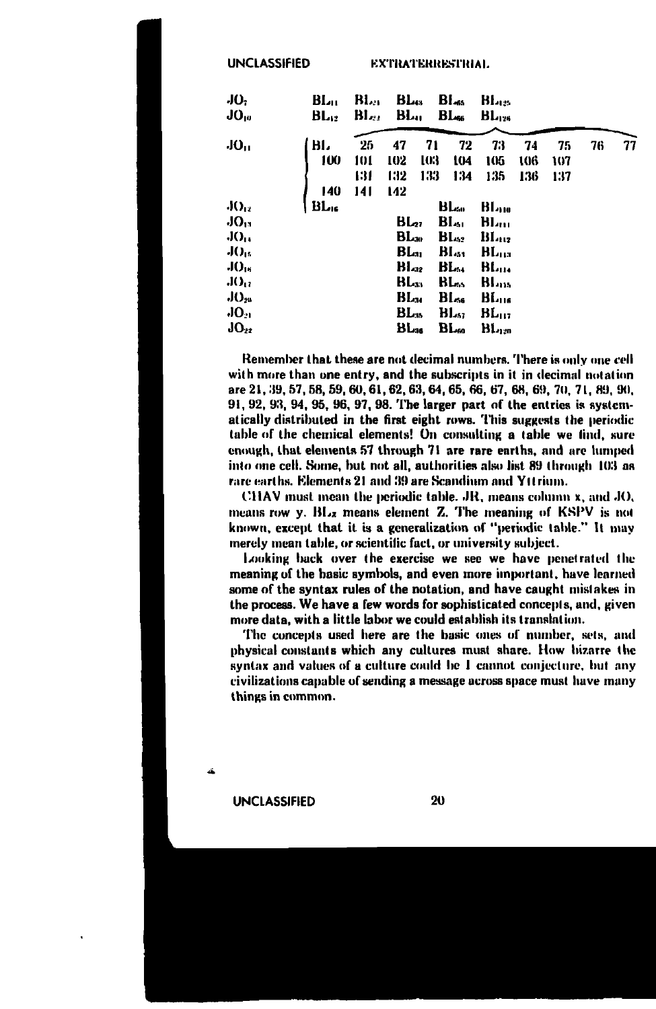**UNCLASSIFIED** 

**EXTRATERRESTRIAL** 

| JO.<br>$JO_{10}$ | BL <sub>u</sub><br>$BL_{12}$ | BL.<br>BL., | <b>BL</b><br>BL         |            | Bl <sub>45</sub><br>B <sub>1</sub> | Bl.es<br>$B_{L126}$      |            |            |    |    |
|------------------|------------------------------|-------------|-------------------------|------------|------------------------------------|--------------------------|------------|------------|----|----|
| JO <sub>U</sub>  | ы.<br>100                    | 25          | 47                      | 71         | 72                                 | 73<br>105                | 74         | 75         | 76 | 77 |
|                  |                              | 101<br>131  | 102<br>132              | 103<br>133 | 104<br>134                         | 135                      | 106<br>136 | 107<br>137 |    |    |
|                  | 140                          | 141         | 142                     |            |                                    |                          |            |            |    |    |
| $J()_{12}$       | BL.                          |             |                         |            | BL                                 | Blan                     |            |            |    |    |
| $JO_{13}$        |                              |             | <b>BL</b> <sub>27</sub> |            | BI.,                               | Bl. <sub>m</sub>         |            |            |    |    |
| $JO_{11}$        |                              |             | $BL_{30}$               |            | $B_{422}$                          | BI <sub>112</sub>        |            |            |    |    |
| $J()_{15}$       |                              |             | BL.,                    |            | $BL_{51}$                          | BL <sub>ua</sub>         |            |            |    |    |
| JO <sub>15</sub> |                              |             | $H_{42}$                |            | ВЬ.,                               | BL                       |            |            |    |    |
| JO <sub>11</sub> |                              |             | BL                      |            | BL.                                | <b>BL</b> <sub>115</sub> |            |            |    |    |
| $JO_{28}$        |                              |             | BLм                     |            | Blده                               | BL <sub>us</sub>         |            |            |    |    |
| JO.              |                              |             | BL                      |            | BL.,                               | $BL_{112}$               |            |            |    |    |
| $JO_{22}$        |                              |             | BL <sub>36</sub>        |            | BL.                                | BL                       |            |            |    |    |

Remember that these are not decimal numbers. There is only one cell with more than one entry, and the subscripts in it in decimal notation are 21, 39, 57, 58, 59, 60, 61, 62, 63, 64, 65, 66, 67, 68, 69, 70, 71, 89, 90, 91, 92, 93, 94, 95, 96, 97, 98. The larger part of the entries is systematically distributed in the first eight rows. This suggests the periodic table of the chemical elements! On consulting a table we find, sure enough, that elements 57 through 71 are rare earths, and are lumped into one cell. Some, but not all, authorities also list 89 through 103 as rare earths. Elements 21 and 39 are Scandium and Yttrium.

CHAV must mean the periodic table. JR, means column x, and JO, means row  $y$ .  $BL_z$  means element Z. The meaning of  $KSPV$  is not known, except that it is a generalization of "periodic table." It may merely mean table, or scientific fact, or university subject.

Looking back over the exercise we see we have penetrated the meaning of the basic symbols, and even more important, have learned some of the syntax rules of the notation, and have caught mistakes in the process. We have a few words for sophisticated concepts, and, given more data, with a little labor we could establish its translation.

The concepts used here are the basic ones of number, sets, and physical constants which any cultures must share. How bizarre the syntax and values of a culture could be I cannot conjecture, but any civilizations capable of sending a message across space must have many things in common.

**UNCLASSIFIED**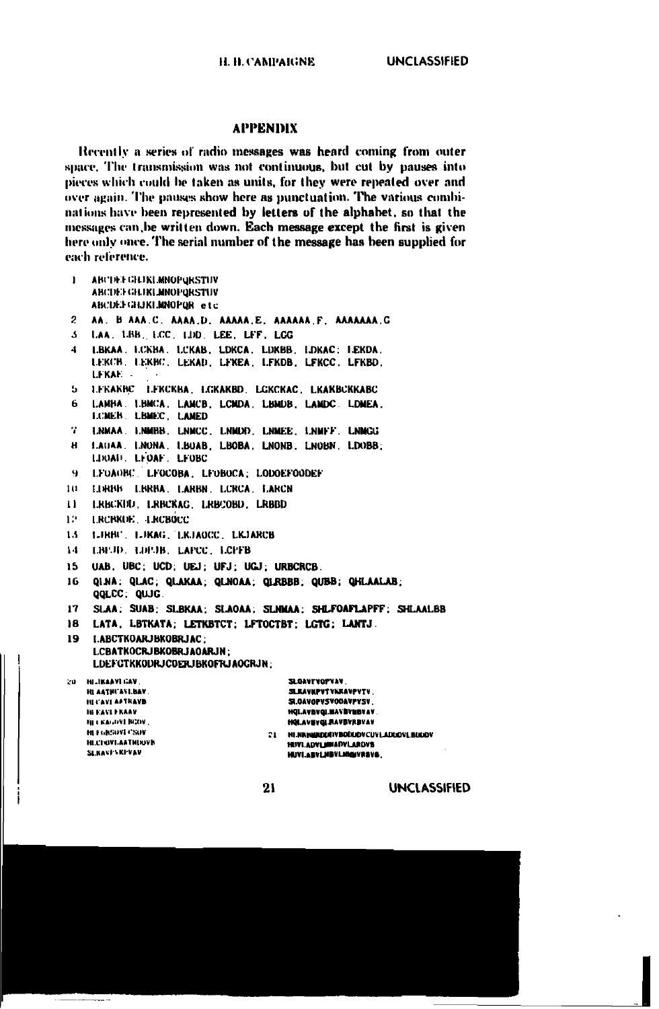## **APPENDIX**

Recently a series of radio messages was heard coming from outer space. The transmission was not continuous, but cut by pauses into pieces which could be taken as units, for they were repeated over and over again. The pauses show here as punctuation. The various combinations have been represented by letters of the alphabet, so that the messages can be written down. Each message except the first is given here only once. The serial number of the message has been supplied for each reference.

| 1.           | ABCDE GRUKLMNOPORSTUV<br>ABCDEFGERLMNOPORSTUV                                                                                                                                                                                               |
|--------------|---------------------------------------------------------------------------------------------------------------------------------------------------------------------------------------------------------------------------------------------|
|              | ABCDEFGHJKLMNOPOR etc                                                                                                                                                                                                                       |
| $\mathbf{2}$ | AA. B AAA.C. AAAA.D. AAAAA.E. AAAAAA.F. AAAAAAA.G                                                                                                                                                                                           |
| $\Lambda$    | LAA, LBB, LCC, LDD, LEE, LFF, LCG                                                                                                                                                                                                           |
| 4            | LBKAA, LCKBA, LCKAB, LDKCA, LDKBB, LDKAC; LEKDA,<br>LEKCB, LEKBC, LEKAD, LEKEA, LEKDB, LEKCC, LEKBD,<br>LEKAE –                                                                                                                             |
| 5.           | LEKAKBC LEKCKBA LGKAKBD LGKCKAC LKAKBCKKABC                                                                                                                                                                                                 |
| 6.           | LAMBA. LIBMCA, LAMCB, LCMDA, LIBMDB, LAMDC. LDMEA.<br>LCMEB. LBMEC. LAMED.                                                                                                                                                                  |
| т.           | LNMAA. LNMBB. LNMCC, LNMDD, LNMEE, LNMFF. LNMGG                                                                                                                                                                                             |
| н            | LAUAA LNONA LBOAB LBOBA LNONB LNOBN LDOBB:<br>LIRMI LIOAF LFOBC                                                                                                                                                                             |
| 9.           | LFOAOBC LFOCOBA LFOBOCA LODOEFOODEF                                                                                                                                                                                                         |
| 101          | LURISS LISRBA, LARBN, LCRCA, LARCN                                                                                                                                                                                                          |
| u            | LRBCKFD LRBCKAG LRBCOBD LRBBD                                                                                                                                                                                                               |
| 12.          | LRCBKDE LRCBOCC                                                                                                                                                                                                                             |
| 13           | LIRBU. LIKAG. LKJAOCC. LKJARCB                                                                                                                                                                                                              |
| 14.          | LBEJD, LDPJB, LAPCC, LCPFB                                                                                                                                                                                                                  |
| 15.          | UAB. UBC: UCD: UEJ: UFJ: UGJ: URBCRCB.                                                                                                                                                                                                      |
|              |                                                                                                                                                                                                                                             |
| 16.          | QINA: QLAC; QLAKAA; QLNOAA, QLRBBB, QUBB, QHLAALAB;<br>QQLCC. QUJG.                                                                                                                                                                         |
| 17.          | SLAA: SUAB, SLBKAA; SLAOAA; SLNMAA; SHLFOAFLAPFF: SHLAALBB                                                                                                                                                                                  |
| 18.          | LATA LBTKATA: LETKBTCT: LFTOCTBT: LGTG: LANTJ.                                                                                                                                                                                              |
| 19.          | LABCTKOARJBKOBRJAC:                                                                                                                                                                                                                         |
|              | LCBATKOCRJBKOBRJAOARJN:                                                                                                                                                                                                                     |
|              | LDEF GTKKODRJ COERJBKOFRJAOGRJN:                                                                                                                                                                                                            |
| in a         | <b>SLOAVTVOPVAV</b><br>HILIKAAVI GAV<br>HLAATHUAVLBAV.<br>SLRAVKPVTVKKAVPVTV.<br><b>HECAVE APTRAVB</b><br><b>SLOAVOPVSVOOAVPYSV</b><br><b>HOLAVBYOLMAVBYNBVAV</b><br><b>IN EAST FRAAV</b><br>HELKAGOVI NGOV.<br><b>HOLAVEVOL RAVEVRBYAV</b> |
|              | <b>HEFGESDVI CSOV</b><br><b>MI NK HARDDEN BOODDVCUV LADDDVL BDDDV</b><br>21.                                                                                                                                                                |
|              | <b>HECHOVEAATHEOVN</b><br>HUVI.ADVLADIADVLARDVB<br>SLKAVI/VKPVAV<br><b>LEIMI ABUL MBUL MANUBEUR</b>                                                                                                                                         |

 $21$ 

HUVI.ABVLHBVLHHMVRSVB.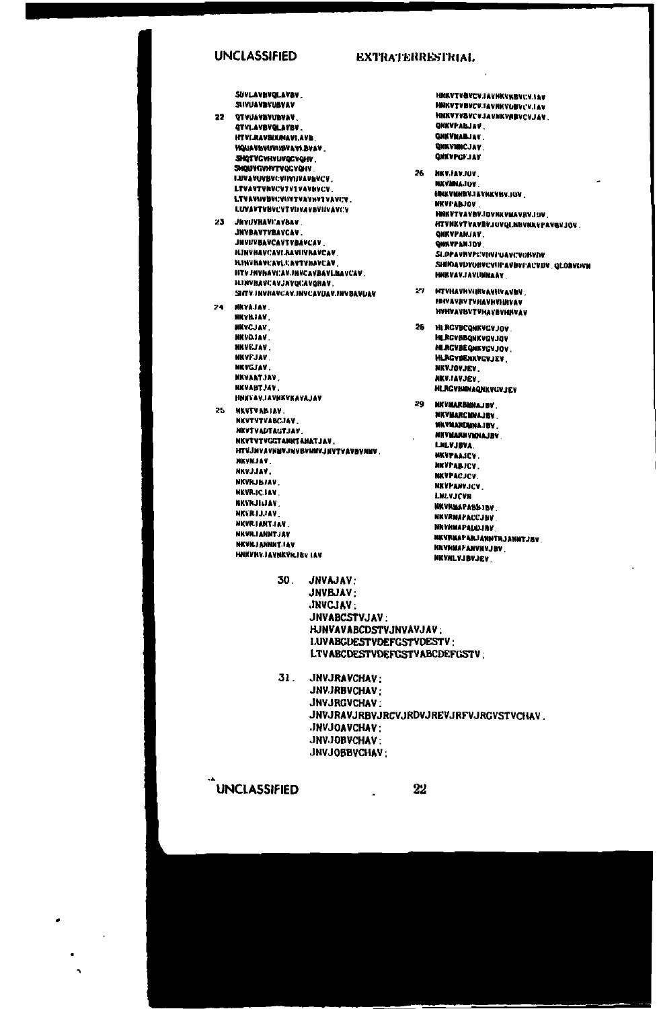### **UNCLASSIFIED**

## **EXTRATERRESTRIAL**

SUVLAVBVQLAVBV. SIVUAVAVIAVAV

### $22 -$ *<u><u><b>ATHISSIONSHOP</u>*</u> **ATVI AVRYOL AVRY ITULPAVRIJAJAVI AVK HOUANGUISHIGNAME RUAY** SHOTYCYHYUVQCVQHV SHQUYGYNYTVQGYQHV **LUVAYOVEVCVIDOUVAVAVCV** LTVAVTVNVCV7V1VAVBVCV. LTVAVISUSUCYSIVTVAVNYTVAVI:V. LUVAVTVBVCVTVIJVAVBVIIVAVCV 23 JEVIJVRAVI'AVRAV **INVRAVTVRAVCAV JHVIIVBAVCAVTVBAVCAV**

**HINVHAVCAVLBAVIIVBAVCAV HINTHAVEAVLUAVTYHAVCAV HTVJNYbAVCAVJNYCAVBAVLBAVCAV. ILINVHAVCAVJNVQCAVQRAV.** SHTV INVRAVCAV.INVCAVUAV.INVBAVUAV 24. **NKVAJAV NKVILIAV** 

- **NKYCJAY NKVDJAV.** MKVEJAV. **NKVFJAV** NKYGJAV. **MXVAATJAV. NKVABTJAV HNEVAVJAVNKVKAVAJAV**
- 25. **MENTVARIAV** NKVTVTVANCJAV **MKYTVADTAGTJAV** NKVTVTVGGTANNTANATJAV. HTVJNVAVNMVJNVBVNMVJNVTVAVBVNMV **NKVNJAV** NKYJJAV. NKVILJBJAV. **NKVRJCJAV BKVKJILIAV NICERLIJAV** NEVRIANTIAV MEVEL LANSY LEV **NKVRJANNIT.IAV** HNKVNVJAVNKVKJBY IAV

HNKVTVBVCVJAVNKVKBVCVJSV HNKVTVBVCV.IAVNKVOBV:V.IAV HNKVTVSVCVJAVNKVABVCVJAV **QKKVPALJAV QNKVMABJAV** QHKVMHCJAV **QWAVPGFJAV** 

- 26 **MKV.IAV.JOV NICYMNAJOV INKVENSYJAVAKVISI JOV NEVEAR IOU** HORYTVAVNY.IDVNKVMAVRY.IOV HTVNKVTVAVBVJUVQLNBVNKYFAVBVJQV **ONKYPANJAV** QNAVPANJOV SLOPAVRYPEVINTUAVCVORVIN SHINAVDYONYCVIIPAVBYPACYDV\_GLOBVOVM **MIRVAY FAVILINAAN**
- 27 HTVHAVhVHHVAVHVAVNV **INIVAVANTURAVININIAV INSIVAVRUTURA VARMUS LI**
- 26 HI RGVBCQNKVGVJOV **MLRGVBBQNKVGVJAV MURGVBEQNKYCVJOV HLAGVBENAVGVJEV NEVJOYJEV** NKV.IAVJEV **HLRGVBINAQNKVCV.IEV**

29 NKVMARBANAJBY. NKVMARCMNAJBV. WAVMARDMNAJEV **HITVMARNVMINAJEV** LILVJBVA **NKVPAAJCV. NKVPABJCV NKVPACJCV NKVPANVJCV** LNLVJCVN **MKVRMAPABBJBV NKVRMAPACC.INV NKVHNAPATALINA** NKVRMAPARJANNTHJANNTJEV. **NEVRMAPANYNVJBV NKVKLVJBVJEV** 

30. JNVAJAV: JNVBJAV: JNVCJAV: JNVABCSTVJAV: HJNVAVABCDSTVJNVAVJAV: **I.UVABCUESTVDEFGSTVDESTV:** LTVABCDESTVDEFGSTVABCDEFGSTV:

31. JNVJRAVCHAV: **JNVJRBVCHAV:** JNVJRGVCHAV: JNVJRAVJRBVJRCVJRDVJREVJRFVJRGVSTVCHAV. **JNVJOAVCHAV: JNVJOBVCHAV** JNVJOBBVCHAV:

 $\ddot{\phantom{a}}$ 

**UNCLASSIFIED** 

l.